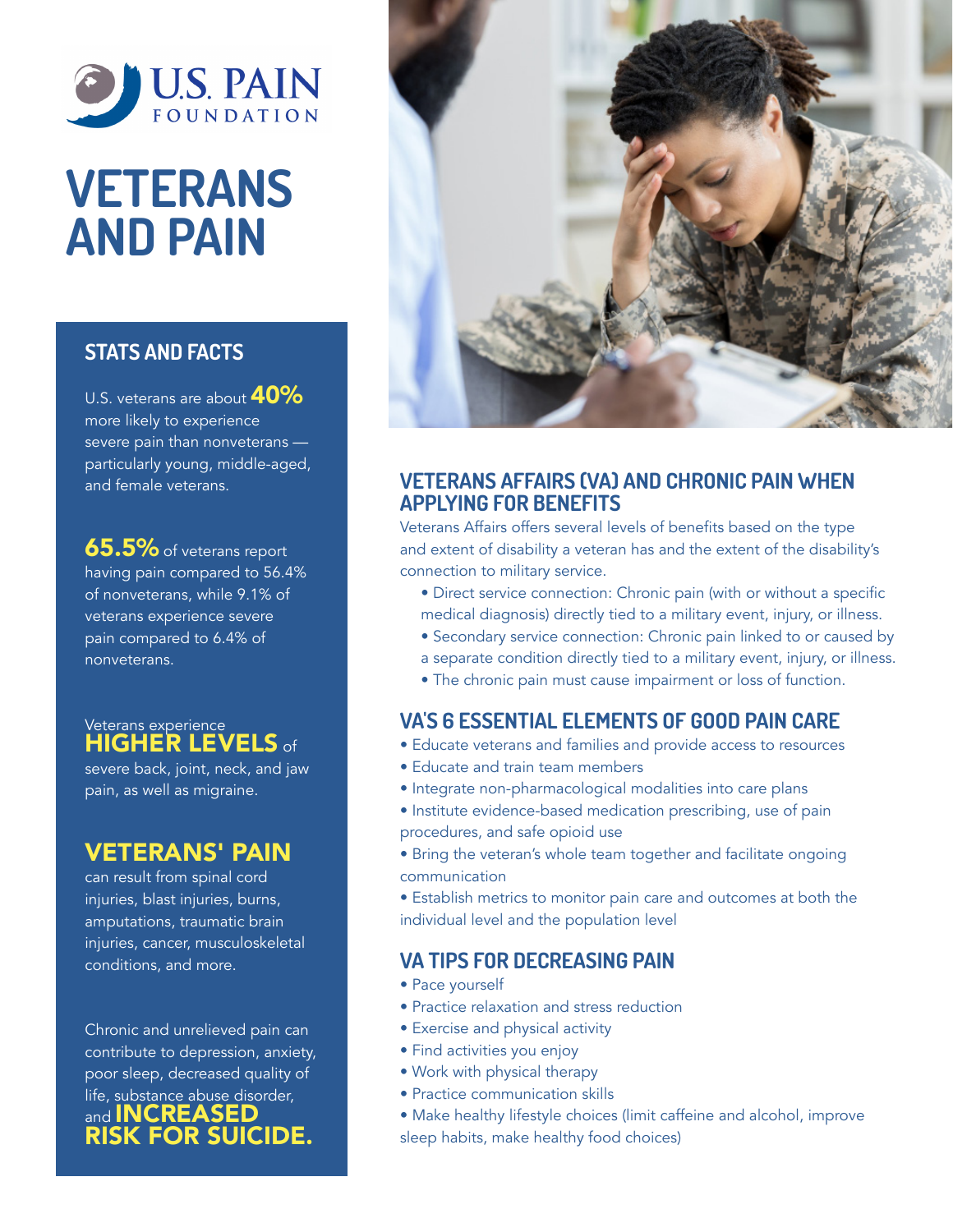

## VETERANS AND PAIN

## STATS AND FACTS

U.S. veterans are about  $40\%$ more likely to experience severe pain than nonveterans particularly young, middle-aged, and female veterans.

**65.5%** of veterans report having pain compared to 56.4% of nonveterans, while 9.1% of veterans experience severe pain compared to 6.4% of nonveterans.

Veterans experience **HIGHER LEVELS of** 

severe back, joint, neck, and jaw pain, as well as migraine.

## VETERANS' PAIN

can result from spinal cord injuries, blast injuries, burns, amputations, traumatic brain injuries, cancer, musculoskeletal conditions, and more.

Chronic and unrelieved pain can contribute to depression, anxiety, poor sleep, decreased quality of life, substance abuse disorder, and **INCREASED** RISK FOR SUICIDE.



### VETERANS AFFAIRS (VA) AND CHRONIC PAIN WHEN APPLYING FOR BENEFITS

Veterans Affairs offers several levels of benefits based on the type and extent of disability a veteran has and the extent of the disability's connection to military service.

- Direct service connection: Chronic pain (with or without a specific medical diagnosis) directly tied to a military event, injury, or illness.
- Secondary service connection: Chronic pain linked to or caused by
- a separate condition directly tied to a military event, injury, or illness.
- The chronic pain must cause impairment or loss of function.

## VA'S 6 ESSENTIAL ELEMENTS OF GOOD PAIN CARE

- Educate veterans and families and provide access to resources
- Educate and train team members
- Integrate non-pharmacological modalities into care plans
- Institute evidence-based medication prescribing, use of pain procedures, and safe opioid use
- Bring the veteran's whole team together and facilitate ongoing communication
- Establish metrics to monitor pain care and outcomes at both the individual level and the population level

## VA TIPS FOR DECREASING PAIN

- Pace yourself
- Practice relaxation and stress reduction
- Exercise and physical activity
- Find activities you enjoy
- Work with physical therapy
- Practice communication skills
- Make healthy lifestyle choices (limit caffeine and alcohol, improve sleep habits, make healthy food choices)